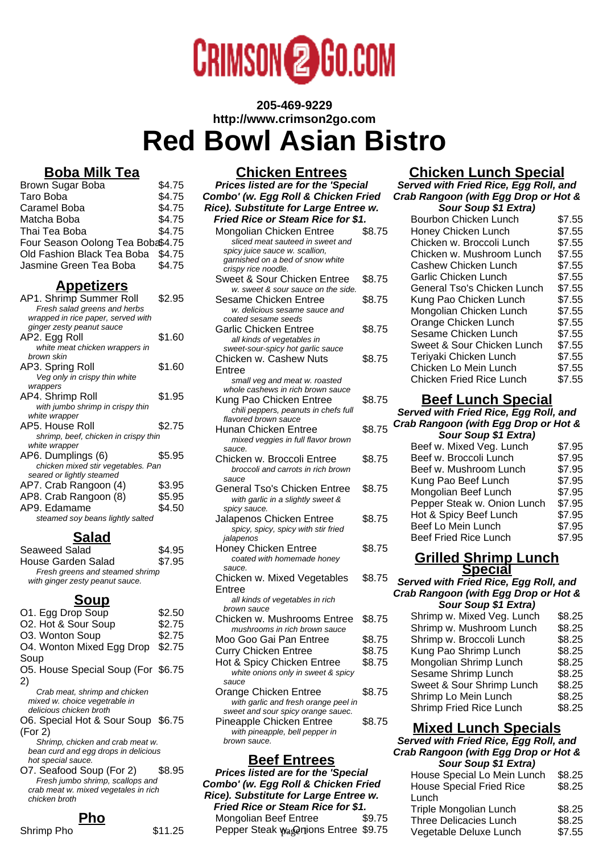

# **205-469-9229 http://www.crimson2go.com Red Bowl Asian Bistro**

# **Boba Milk Tea**

| Brown Sugar Boba                  | \$4.75 |
|-----------------------------------|--------|
| Taro Boba                         | \$4.75 |
| Caramel Boba                      | \$4.75 |
| Matcha Boba                       | \$4.75 |
| Thai Tea Boba                     | \$4.75 |
| Four Season Oolong Tea Boba\$4.75 |        |
| Old Fashion Black Tea Boba        | \$4.75 |
| Jasmine Green Tea Boba            | \$4.75 |
|                                   |        |

### **Appetizers**

| AP1. Shrimp Summer Roll              | \$2.95 |
|--------------------------------------|--------|
| Fresh salad greens and herbs         |        |
| wrapped in rice paper, served with   |        |
| ginger zesty peanut sauce            |        |
| AP2. Egg Roll                        | \$1.60 |
| white meat chicken wrappers in       |        |
| hrown skin                           |        |
| AP3. Spring Roll                     | \$1.60 |
| Veg only in crispy thin white        |        |
| wrappers                             |        |
| AP4. Shrimp Roll                     | \$1.95 |
| with jumbo shrimp in crispy thin     |        |
| white wrapper                        |        |
| AP5. House Roll                      | \$2.75 |
| shrimp, beef, chicken in crispy thin |        |
| white wrapper                        |        |
| AP6. Dumplings (6)                   | \$5.95 |
| chicken mixed stir vegetables. Pan   |        |
| seared or lightly steamed            |        |
| AP7. Crab Rangoon (4)                | \$3.95 |
| AP8. Crab Rangoon (8)                | \$5.95 |
|                                      |        |
| AP9. Edamame                         | \$4.50 |
| steamed soy beans lightly salted     |        |
|                                      |        |

# **Salad**

| <b>Seaweed Salad</b>            | \$4.95 |
|---------------------------------|--------|
| House Garden Salad              | \$7.95 |
| Fresh greens and steamed shrimp |        |
| with ginger zesty peanut sauce. |        |
|                                 |        |

## **Soup**

| O1. Egg Drop Soup                    | \$2.50 |
|--------------------------------------|--------|
| O2. Hot & Sour Soup                  | \$2.75 |
| O3. Wonton Soup                      | \$2.75 |
| O4. Wonton Mixed Egg Drop            | \$2.75 |
| Soup                                 |        |
| O5. House Special Soup (For \$6.75   |        |
| 2)                                   |        |
| Crab meat, shrimp and chicken        |        |
| mixed w. choice vegetrable in        |        |
| delicious chicken broth              |        |
| O6. Special Hot & Sour Soup \$6.75   |        |
| (For 2)                              |        |
| Shrimp, chicken and crab meat w.     |        |
| bean curd and egg drops in delicious |        |
| hot special sauce.                   |        |
| O7. Seafood Soup (For 2)             | \$8.95 |
| Fresh jumbo shrimp, scallops and     |        |
| crab meat w. mixed vegetales in rich |        |
| chicken broth                        |        |

### **Pho** Shrimp Pho \$11.25

**Chicken Entrees Prices listed are for the 'Special Combo' (w. Egg Roll & Chicken Fried Rice). Substitute for Large Entree w. Fried Rice or Steam Rice for \$1.** Mongolian Chicken Entree \$8.75 sliced meat sauteed in sweet and spicy juice sauce w. scallion, garnished on a bed of snow white crispy rice noodle. Sweet & Sour Chicken Entree \$8.75 w. sweet & sour sauce on the side. Sesame Chicken Entree \$8.75 w. delicious sesame sauce and coated sesame seeds Garlic Chicken Entree \$8.75 all kinds of vegetables in sweet-sour-spicy hot garlic sauce Chicken w. Cashew Nuts Entree \$8.75 small veg and meat w. roasted whole cashews in rich brown sauce Kung Pao Chicken Entree \$8.75 chili peppers, peanuts in chefs full flavored brown sauce Hunan Chicken Entree \$8.75 mixed veggies in full flavor brown sauce. Chicken w. Broccoli Entree \$8. broccoli and carrots in rich brown sauce General Tso's Chicken Entree \$8. with garlic in a slightly sweet & spicy sauce. Jalapenos Chicken Entree \$8. spicy, spicy, spicy with stir fried jalapenos Honey Chicken Entree \$8.75 coated with homemade honey sauce. Chicken w. Mixed Vegetables Entree \$8.75 all kinds of vegetables in rich brown sauce

Chicken w. Mushrooms Entree \$8.75 mushrooms in rich brown sauce Moo Goo Gai Pan Entree \$8.75 Curry Chicken Entree \$8.75 Hot & Spicy Chicken Entree \$8.75 white onions only in sweet & spicy sauce Orange Chicken Entree \$8.75 with garlic and fresh orange peel in sweet and sour spicy orange sauec. Pineapple Chicken Entree \$8.75 with pineapple, bell pepper in brown sauce.

# **Beef Entrees**

**Prices listed are for the 'Special Combo' (w. Egg Roll & Chicken Fried Rice). Substitute for Large Entree w. Fried Rice or Steam Rice for \$1.** Mongolian Beef Entree \$9.75

# **Chicken Lunch Special**

**Served with Fried Rice, Egg Roll, and Crab Rangoon (with Egg Drop or Hot &**

| Sour Soup \$1 Extra)            |        |
|---------------------------------|--------|
| Bourbon Chicken Lunch           | \$7.55 |
| Honey Chicken Lunch             | \$7.55 |
| Chicken w. Broccoli Lunch       | \$7.55 |
| Chicken w. Mushroom Lunch       | \$7.55 |
| Cashew Chicken Lunch            | \$7.55 |
| Garlic Chicken Lunch            | \$7.55 |
| General Tso's Chicken Lunch     | \$7.55 |
| Kung Pao Chicken Lunch          | \$7.55 |
| Mongolian Chicken Lunch         | \$7.55 |
| Orange Chicken Lunch            | \$7.55 |
| Sesame Chicken Lunch            | \$7.55 |
| Sweet & Sour Chicken Lunch      | \$7.55 |
| Teriyaki Chicken Lunch          | \$7.55 |
| Chicken Lo Mein Lunch           | \$7.55 |
| <b>Chicken Fried Rice Lunch</b> | \$7.55 |
|                                 |        |

# **Beef Lunch Special**

**Served with Fried Rice, Egg Roll, and Crab Rangoon (with Egg Drop or Hot &**

| ) Rangoon (with Egg Drop or πι |  |  |  |
|--------------------------------|--|--|--|
| Sour Soup \$1 Extra)           |  |  |  |

|    | Suul Suup și Exuaj           |        |
|----|------------------------------|--------|
|    | Beef w. Mixed Veg. Lunch     | \$7.95 |
| 75 | Beef w. Broccoli Lunch       | \$7.95 |
|    | Beef w. Mushroom Lunch       | \$7.95 |
|    | Kung Pao Beef Lunch          | \$7.95 |
| 75 | Mongolian Beef Lunch         | \$7.95 |
|    | Pepper Steak w. Onion Lunch  | \$7.95 |
| 75 | Hot & Spicy Beef Lunch       | \$7.95 |
|    | Beef Lo Mein Lunch           | \$7.95 |
|    | <b>Beef Fried Rice Lunch</b> | \$7.95 |
|    |                              |        |

### **Grilled Shrimp Lunch Special**

**Served with Fried Rice, Egg Roll, and Crab Rangoon (with Egg Drop or Hot & Sour Soup \$1 Extra)**

| Shrimp w. Mixed Veg. Lunch | \$8.25 |
|----------------------------|--------|
| Shrimp w. Mushroom Lunch   | \$8.25 |
| Shrimp w. Broccoli Lunch   | \$8.25 |
| Kung Pao Shrimp Lunch      | \$8.25 |
| Mongolian Shrimp Lunch     | \$8.25 |
| Sesame Shrimp Lunch        | \$8.25 |
| Sweet & Sour Shrimp Lunch  | \$8.25 |
| Shrimp Lo Mein Lunch       | \$8.25 |
| Shrimp Fried Rice Lunch    | \$8.25 |
|                            |        |

### **Mixed Lunch Specials**

### **Served with Fried Rice, Egg Roll, and Crab Rangoon (with Egg Drop or Hot &**

| House Special Lo Mein Lunch<br>\$8.25 |
|---------------------------------------|
| \$8.25                                |
|                                       |
| \$8.25                                |
| \$8.25                                |
| \$7.55                                |
|                                       |